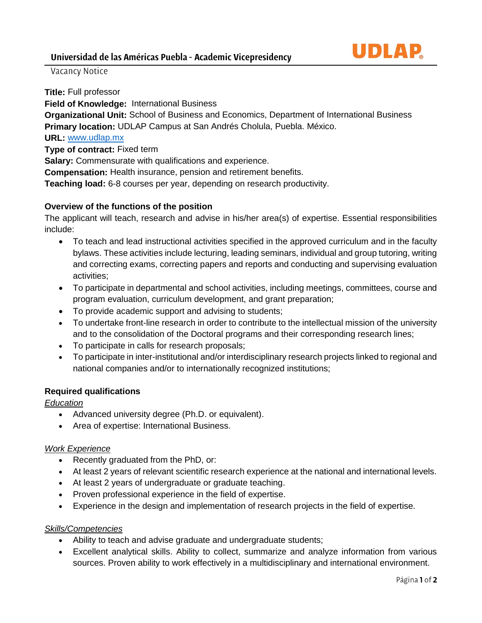

Vacancy Notice

**Title:** Full professor

**Field of Knowledge:** International Business

**Organizational Unit:** School of Business and Economics, Department of International Business **Primary location:** UDLAP Campus at San Andrés Cholula, Puebla. México.

## **URL:** [www.udlap.mx](http://www.udlap.mx/)

**Type of contract:** Fixed term

**Salary:** Commensurate with qualifications and experience.

**Compensation:** Health insurance, pension and retirement benefits.

**Teaching load:** 6-8 courses per year, depending on research productivity.

## **Overview of the functions of the position**

The applicant will teach, research and advise in his/her area(s) of expertise. Essential responsibilities include:

- To teach and lead instructional activities specified in the approved curriculum and in the faculty bylaws. These activities include lecturing, leading seminars, individual and group tutoring, writing and correcting exams, correcting papers and reports and conducting and supervising evaluation activities;
- To participate in departmental and school activities, including meetings, committees, course and program evaluation, curriculum development, and grant preparation;
- To provide academic support and advising to students;
- To undertake front-line research in order to contribute to the intellectual mission of the university and to the consolidation of the Doctoral programs and their corresponding research lines;
- To participate in calls for research proposals;
- To participate in inter-institutional and/or interdisciplinary research projects linked to regional and national companies and/or to internationally recognized institutions;

## **Required qualifications**

### *Education*

- Advanced university degree (Ph.D. or equivalent).
- Area of expertise: International Business.

### *Work Experience*

- Recently graduated from the PhD, or:
- At least 2 years of relevant scientific research experience at the national and international levels.
- At least 2 years of undergraduate or graduate teaching.
- Proven professional experience in the field of expertise.
- Experience in the design and implementation of research projects in the field of expertise.

### *Skills/Competencies*

- Ability to teach and advise graduate and undergraduate students;
- Excellent analytical skills. Ability to collect, summarize and analyze information from various sources. Proven ability to work effectively in a multidisciplinary and international environment.